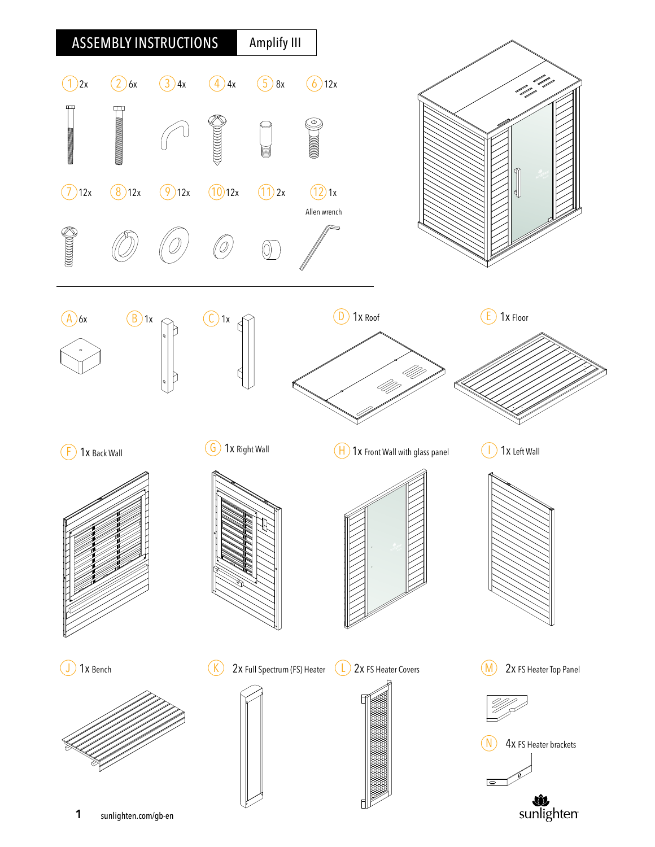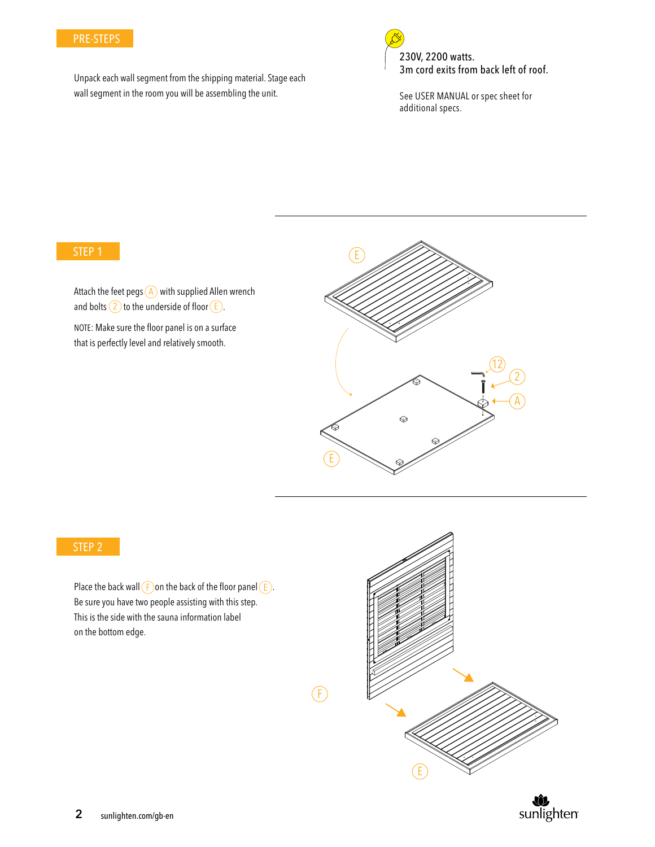#### PRE-STEPS

Unpack each wall segment from the shipping material. Stage each wall segment in the room you will be assembling the unit.



See USER MANUAL or spec sheet for additional specs.

#### STEP 1

Attach the feet pegs  $(A)$  with supplied Allen wrench and bolts  $(2)$  to the underside of floor  $(E)$ .

NOTE: Make sure the floor panel is on a surface that is perfectly level and relatively smooth.



### STEP 2

Place the back wall  $(F)$  on the back of the floor panel  $(E)$ . Be sure you have two people assisting with this step. This is the side with the sauna information label on the bottom edge.



 $(F)$ 

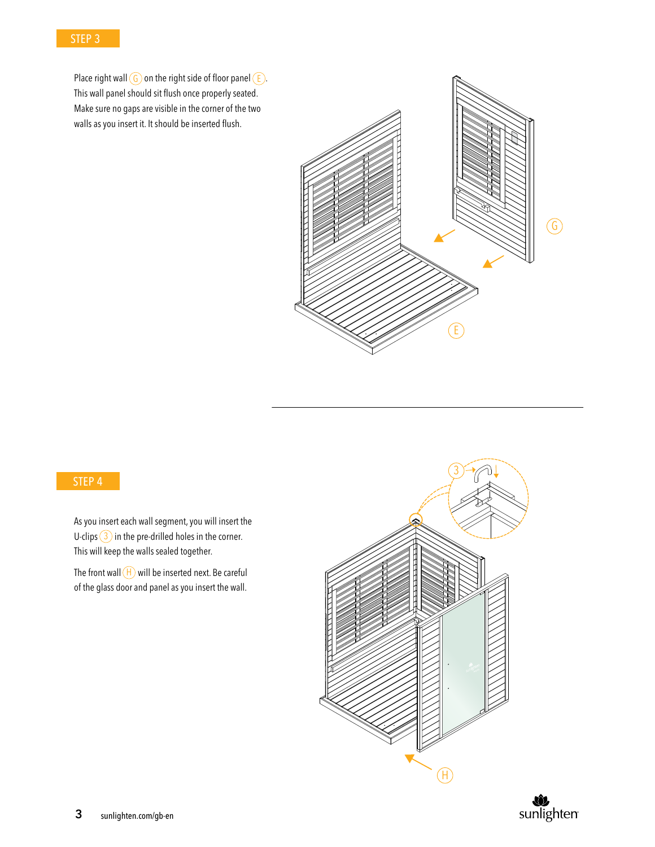Place right wall  $\left(\frac{G}{2}\right)$  on the right side of floor panel  $\left(\frac{F}{2}\right)$ . This wall panel should sit flush once properly seated. Make sure no gaps are visible in the corner of the two walls as you insert it. It should be inserted flush.



#### STEP 4

As you insert each wall segment, you will insert the U-clips  $(3)$  in the pre-drilled holes in the corner. This will keep the walls sealed together.

The front wall  $(H)$  will be inserted next. Be careful of the glass door and panel as you insert the wall.



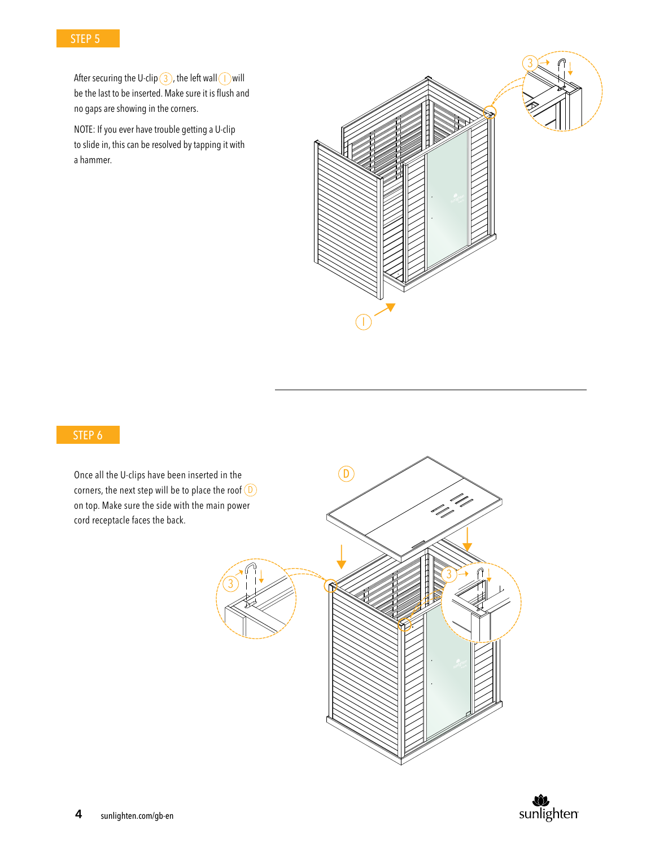

After securing the U-clip  $(3)$ , the left wall  $(1)$  will be the last to be inserted. Make sure it is flush and no gaps are showing in the corners.

NOTE: If you ever have trouble getting a U-clip to slide in, this can be resolved by tapping it with a hammer.



# STEP 6

Once all the U-clips have been inserted in the corners, the next step will be to place the roof  $(D)$ on top. Make sure the side with the main power cord receptacle faces the back.



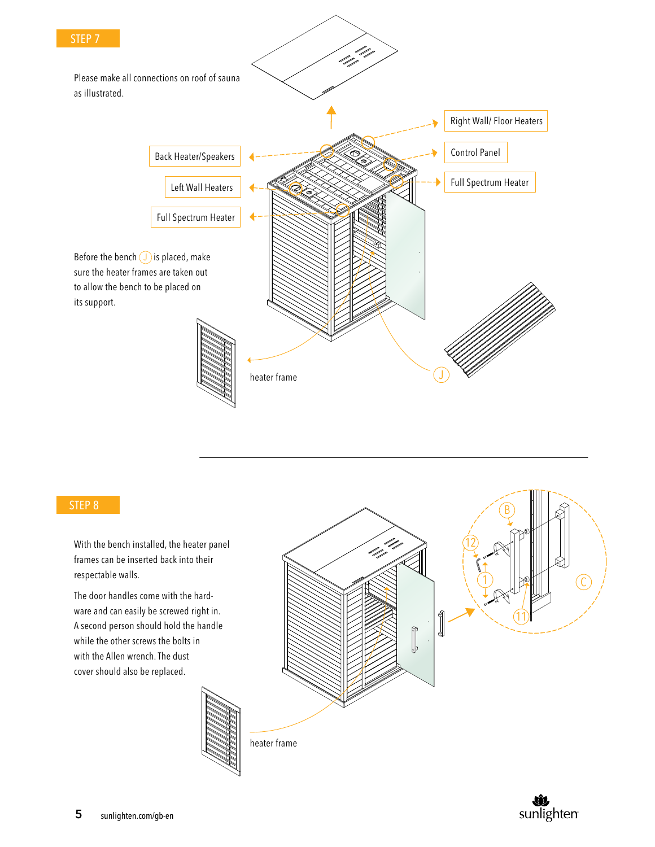

With the bench installed, the heater panel frames can be inserted back into their respectable walls.

The door handles come with the hardware and can easily be screwed right in. A second person should hold the handle while the other screws the bolts in with the Allen wrench. The dust cover should also be replaced.

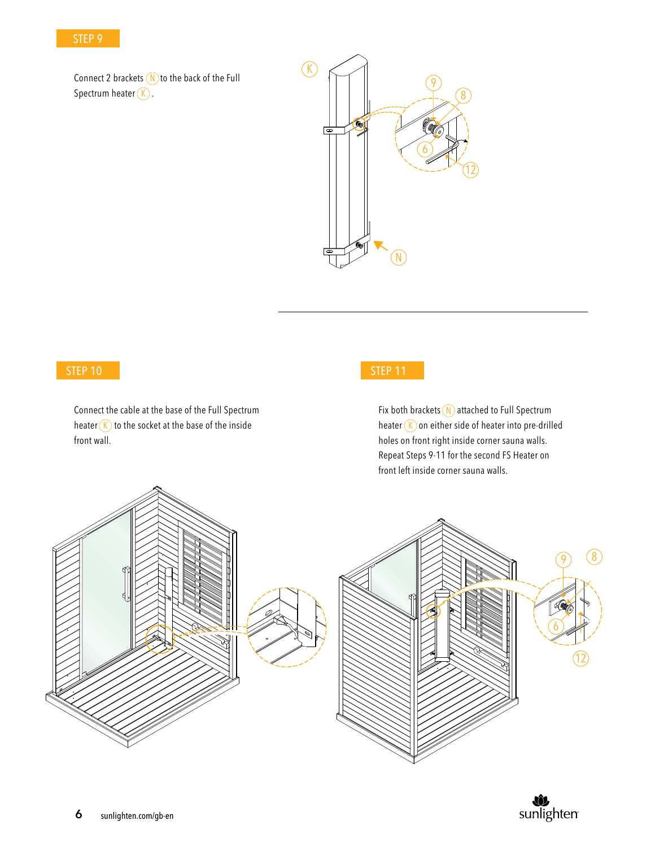Connect 2 brackets  $(N)$  to the back of the Full Spectrum heater  $\left(\widehat{K}\right)$ .



## STEP 10

Connect the cable at the base of the Full Spectrum heater  $(K)$  to the socket at the base of the inside  $\overline{K}$ front wall.

# STEP 11

Fix both brackets (N) attached to Full Spectrum heater  $\overline{K}$  on either side of heater into pre-drilled holes on front right inside corner sauna walls. Repeat Steps 9-11 for the second FS Heater on front left inside corner sauna walls.



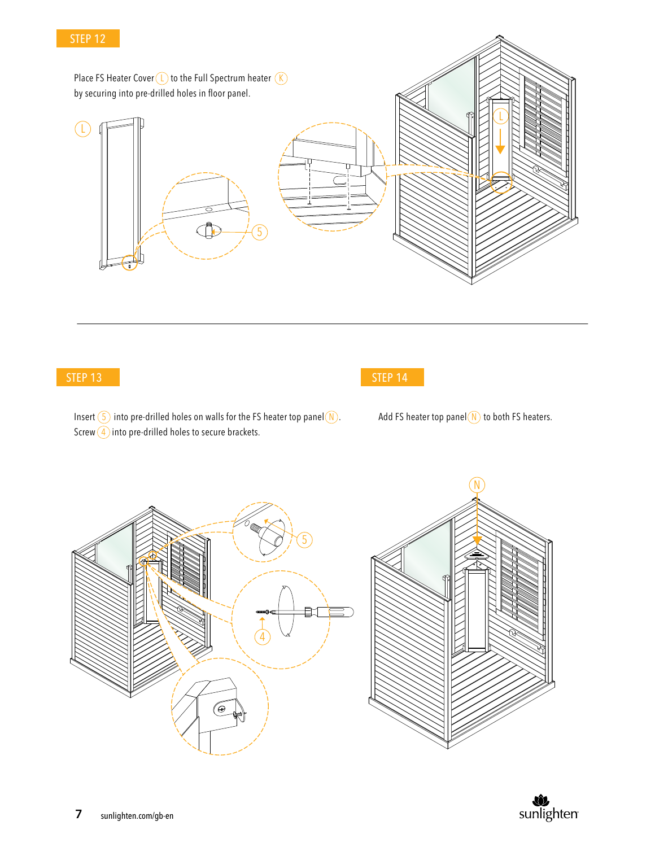Place FS Heater Cover  $(L)$  to the Full Spectrum heater  $(K)$ by securing into pre-drilled holes in floor panel. L L  $\bigoplus$ 5

## STEP 13



Insert  $(5)$  into pre-drilled holes on walls for the FS heater top panel  $(N)$ . Screw  $\left(4\right)$  into pre-drilled holes to secure brackets.

Add FS heater top panel  $(N)$  to both FS heaters.